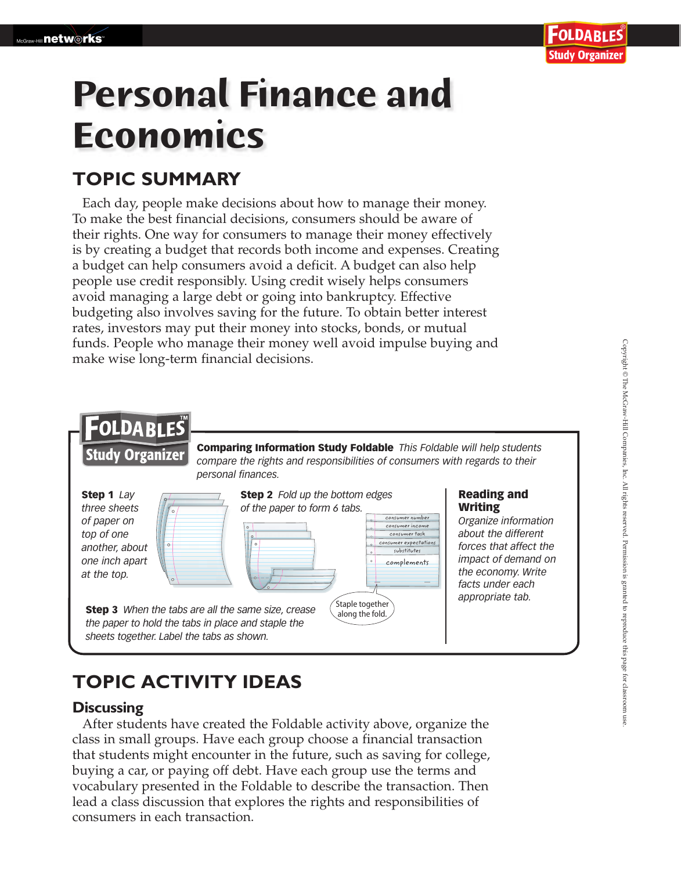# **Personal Finance and Economics**

### **TOPIC SUMMARY**

Each day, people make decisions about how to manage their money. To make the best financial decisions, consumers should be aware of their rights. One way for consumers to manage their money effectively is by creating a budget that records both income and expenses. Creating a budget can help consumers avoid a deficit. A budget can also help people use credit responsibly. Using credit wisely helps consumers avoid managing a large debt or going into bankruptcy. Effective budgeting also involves saving for the future. To obtain better interest rates, investors may put their money into stocks, bonds, or mutual funds. People who manage their money well avoid impulse buying and make wise long-term financial decisions.



## **TOPIC ACTIVITY IDEAS**

#### **Discussing**

After students have created the Foldable activity above, organize the class in small groups. Have each group choose a financial transaction that students might encounter in the future, such as saving for college, buying a car, or paying off debt. Have each group use the terms and vocabulary presented in the Foldable to describe the transaction. Then lead a class discussion that explores the rights and responsibilities of consumers in each transaction.